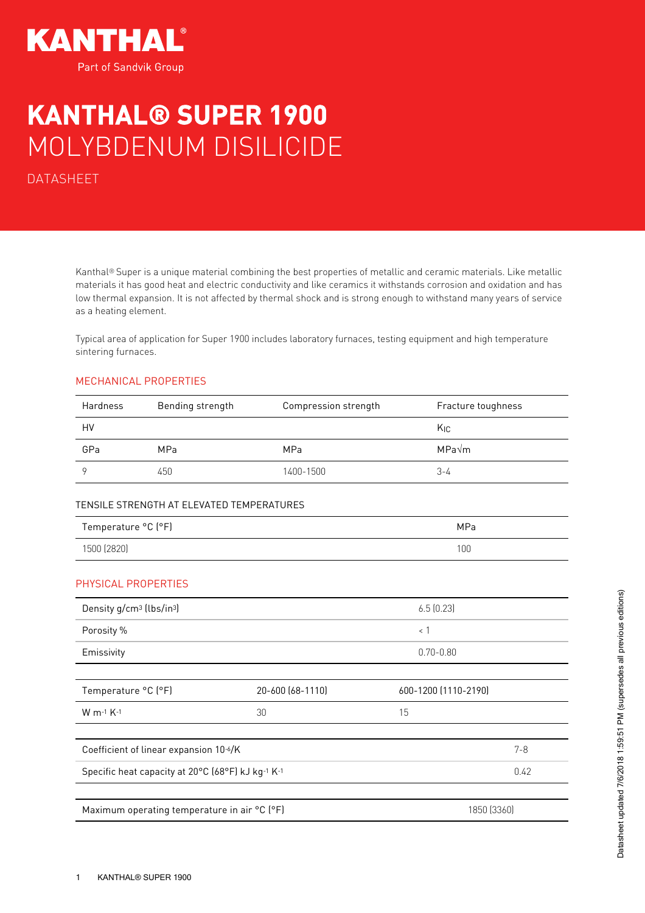

## KANTHAL® SUPER 1900 MOLYBDENUM DISILICIDE

DATASHEET

Kanthal® Super is a unique material combining the best properties of metallic and ceramic materials. Like metallic materials it has good heat and electric conductivity and like ceramics it withstands corrosion and oxidation and has low thermal expansion. It is not affected by thermal shock and is strong enough to withstand many years of service as a heating element.

Typical area of application for Super 1900 includes laboratory furnaces, testing equipment and high temperature sintering furnaces.

## MECHANICAL PROPERTIES

| <b>Hardness</b> | Bending strength | Compression strength | Fracture toughness |
|-----------------|------------------|----------------------|--------------------|
| HV              |                  |                      | Kic                |
| GPa             | <b>MPa</b>       | <b>MPa</b>           | MPa√m              |
|                 | 450              | 1400-1500            | 3-4                |

## TENSILE STRENGTH AT ELEVATED TEMPERATURES

| Temperature °C (°F) | MPa              |
|---------------------|------------------|
| 1500 (2820)         | 100 <sub>1</sub> |

## PHYSICAL PROPERTIES

| Density g/cm <sup>3</sup> (lbs/in <sup>3</sup> )  |                  | 6.5(0.23)            |             |
|---------------------------------------------------|------------------|----------------------|-------------|
| Porosity %                                        |                  | $\langle$ 1          |             |
| Emissivity                                        |                  | $0.70 - 0.80$        |             |
|                                                   |                  |                      |             |
| Temperature °C (°F)                               | 20-600 (68-1110) | 600-1200 (1110-2190) |             |
| $W$ m-1 $K-1$                                     | 30               | 15                   |             |
|                                                   |                  |                      |             |
| Coefficient of linear expansion 10-6/K            |                  |                      | $7 - 8$     |
| Specific heat capacity at 20°C (68°F) kJ kg-1 K-1 |                  |                      | 0.42        |
|                                                   |                  |                      |             |
| Maximum operating temperature in air °C (°F)      |                  |                      | 1850 [3360] |